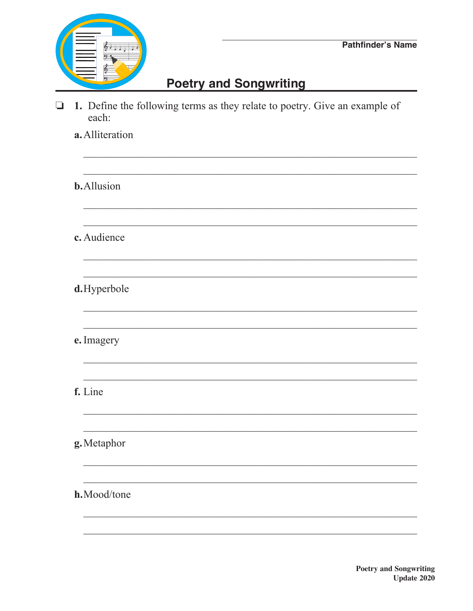

## **Poetry and Songwriting**

1. Define the following terms as they relate to poetry. Give an example of  $\Box$ each:

a. Alliteration **b.**Allusion c. Audience d.Hyperbole e. Imagery f. Line g. Metaphor h.Mood/tone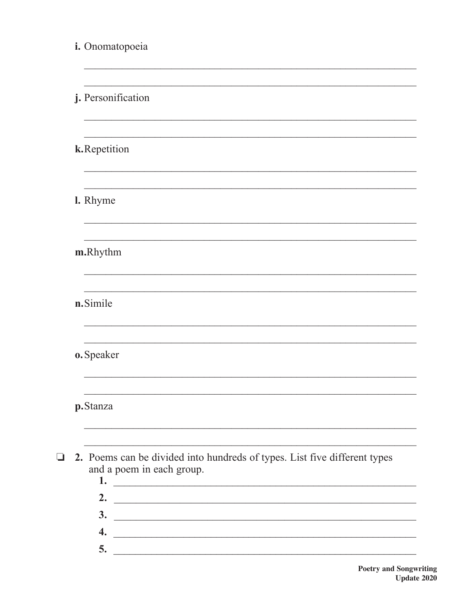| i. Onomatopoeia                                                                                                            |
|----------------------------------------------------------------------------------------------------------------------------|
|                                                                                                                            |
| j. Personification                                                                                                         |
|                                                                                                                            |
| k.Repetition                                                                                                               |
|                                                                                                                            |
| <b>I.</b> Rhyme                                                                                                            |
|                                                                                                                            |
| m.Rhythm                                                                                                                   |
|                                                                                                                            |
| n.Simile                                                                                                                   |
|                                                                                                                            |
| o. Speaker                                                                                                                 |
|                                                                                                                            |
| p.Stanza                                                                                                                   |
|                                                                                                                            |
| 2. Poems can be divided into hundreds of types. List five different types<br>and a poem in each group.                     |
| 2.<br><u> 1989 - Johann John Stein, markin fan it ferstjer fan it ferstjer fan it ferstjer fan it ferstjer fan it fers</u> |
| 3.                                                                                                                         |
| $\boldsymbol{4}$ .<br><u> 2008 - Jan Barbarat, margaret eta politikaria (h. 1878).</u>                                     |
| 5.                                                                                                                         |

 $\Box$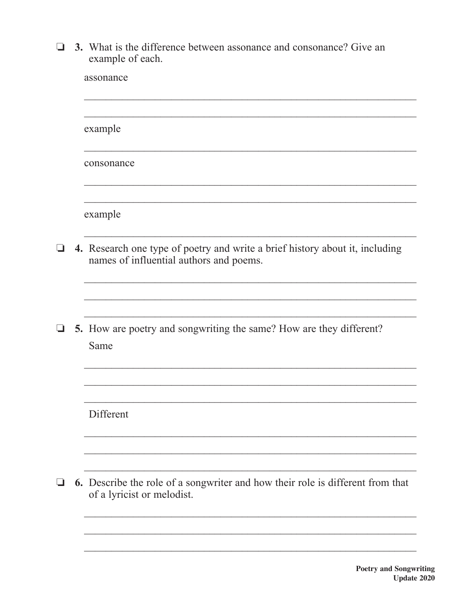$\Box$  3. What is the difference between assonance and consonance? Give an example of each.

| assonance                                                                                                               |
|-------------------------------------------------------------------------------------------------------------------------|
|                                                                                                                         |
| example                                                                                                                 |
| consonance                                                                                                              |
|                                                                                                                         |
| example                                                                                                                 |
| 4. Research one type of poetry and write a brief history about it, including<br>names of influential authors and poems. |
|                                                                                                                         |
|                                                                                                                         |
| 5. How are poetry and songwriting the same? How are they different?<br>Same                                             |
|                                                                                                                         |
|                                                                                                                         |
| Different                                                                                                               |
|                                                                                                                         |
|                                                                                                                         |
| 6. Describe the role of a songwriter and how their role is different from that<br>of a lyricist or melodist.            |

 $\Box$ 

 $\Box$ 

 $\Box$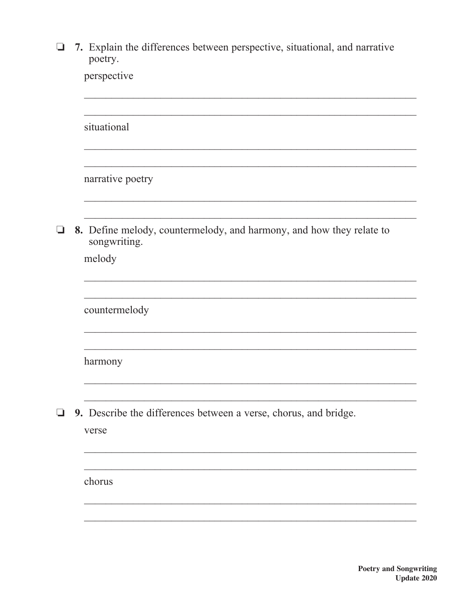| $\Box$ 7. Explain the differences between perspective, situational, and narrative |
|-----------------------------------------------------------------------------------|
| poetry.                                                                           |
| perspective                                                                       |

|   | situational                                                                          |
|---|--------------------------------------------------------------------------------------|
|   |                                                                                      |
|   | narrative poetry                                                                     |
| ⊔ | 8. Define melody, countermelody, and harmony, and how they relate to<br>songwriting. |
|   | melody                                                                               |
|   |                                                                                      |
|   | countermelody                                                                        |
|   |                                                                                      |
|   | harmony                                                                              |
|   |                                                                                      |
| ப | 9. Describe the differences between a verse, chorus, and bridge.                     |
|   | verse                                                                                |
|   |                                                                                      |
|   | chorus                                                                               |